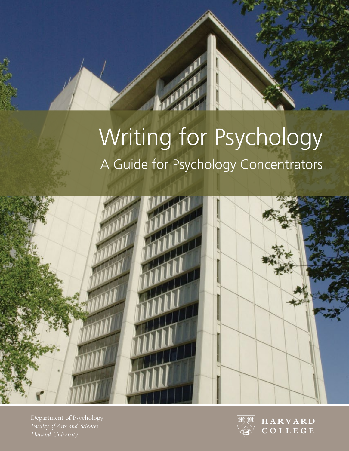# Writing for Psychology A Guide for Psychology Concentrators



Department of Psychology *Faculty of Arts and Sciences Harvard University*



**HARVARD COLLEGE**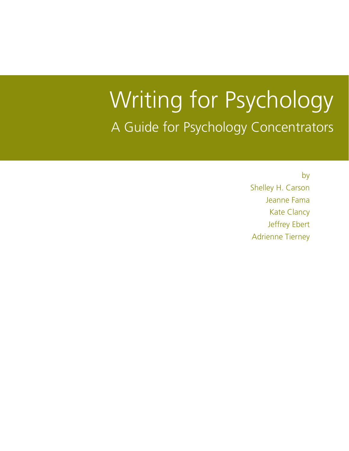# Writing for Psychology A Guide for Psychology Concentrators

by Shelley H. Carson Jeanne Fama Kate Clancy Jeffrey Ebert Adrienne Tierney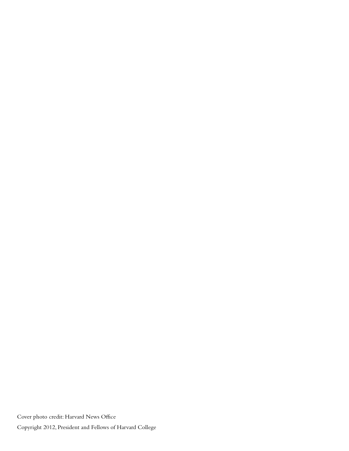Cover photo credit: Harvard News Office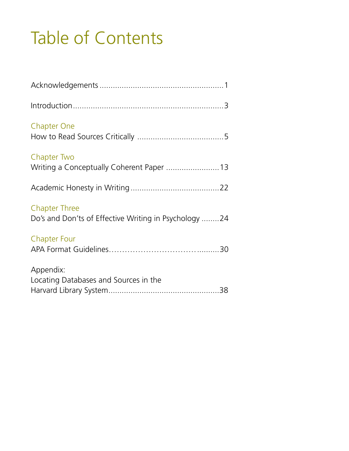## Table of Contents

| <b>Chapter One</b>                                                            |  |
|-------------------------------------------------------------------------------|--|
| Chapter Two<br>Writing a Conceptually Coherent Paper  13                      |  |
|                                                                               |  |
| <b>Chapter Three</b><br>Do's and Don'ts of Effective Writing in Psychology 24 |  |
| <b>Chapter Four</b>                                                           |  |
| Appendix:<br>Locating Databases and Sources in the                            |  |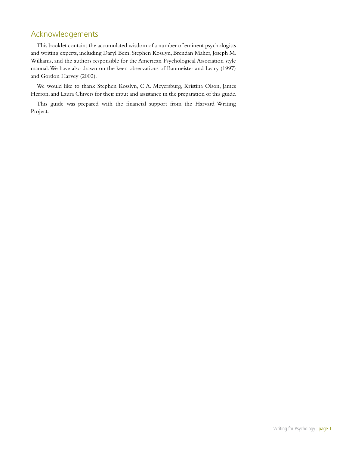## Acknowledgements

This booklet contains the accumulated wisdom of a number of eminent psychologists and writing experts, including Daryl Bem, Stephen Kosslyn, Brendan Maher, Joseph M. Williams, and the authors responsible for the American Psychological Association style manual. We have also drawn on the keen observations of Baumeister and Leary (1997) and Gordon Harvey (2002).

We would like to thank Stephen Kosslyn, C.A. Meyersburg, Kristina Olson, James Herron, and Laura Chivers for their input and assistance in the preparation of this guide.

This guide was prepared with the financial support from the Harvard Writing Project.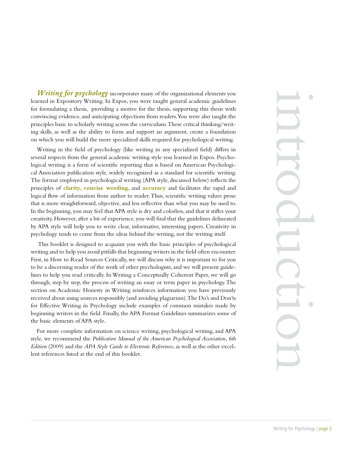learned in Expository Writing. In Expos, you were taught general academic guidelines *Writing for psychology* incorporates many of the organizational elements you for formulating a thesis, providing a motive for the thesis, supporting this thesis with convincing evidence, and anticipating objections from readers. You were also taught the principles basic to scholarly writing across the curriculum. These critical thinking/writing skills, as well as the ability to form and support an argument, create a foundation on which you will build the more specialized skills required for psychological writing.

Writing in the field of psychology (like writing in any specialized field) differs in several respects from the general academic writing style you learned in Expos. Psychological writing is a form of scientific reporting that is based on American Psychological Association publication style, widely recognized as a standard for scientific writing. The format employed in psychological writing (APA style, discussed below) reflects the principles of **clarity**, **concise wording**, and **accuracy** and facilitates the rapid and logical flow of information from author to reader. Thus, scientific writing values prose that is more straightforward, objective, and less reflective than what you may be used to. In the beginning, you may feel that APA style is dry and colorless, and that it stifles your creativity. However, after a bit of experience, you will find that the guidelines delineated by APA style will help you to write clear, informative, interesting papers. Creativity in psychology tends to come from the ideas behind the writing, not the writing itself.

 This booklet is designed to acquaint you with the basic principles of psychological writing and to help you avoid pitfalls that beginning writers in the field often encounter. First, in How to Read Sources Critically, we will discuss why it is important to for you to be a discerning reader of the work of other psychologists, and we will present guidelines to help you read critically. In Writing a Conceptually Coherent Paper, we will go through, step by step, the process of writing an essay or term paper in psychology. The section on Academic Honesty in Writing reinforces information you have previously received about using sources responsibly (and avoiding plagiarism). The Do's and Don'ts for Effective Writing in Psychology include examples of common mistakes made by beginning writers in the field. Finally, the APA Format Guidelines summarizes some of the basic elements of APA style.

For more complete information on science writing, psychological writing, and APA style, we recommend the *Publication Manual of the American Psychological Association, 6th Edition* (2009) and the *APA Style Guide to Electronic References*, as well as the other excellent references listed at the end of this booklet.

introduction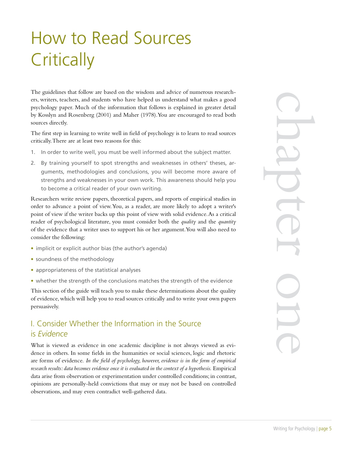## How to Read Sources **Critically**

The guidelines that follow are based on the wisdom and advice of numerous researchers, writers, teachers, and students who have helped us understand what makes a good psychology paper. Much of the information that follows is explained in greater detail by Kosslyn and Rosenberg (2001) and Maher (1978). You are encouraged to read both sources directly.

The first step in learning to write well in field of psychology is to learn to read sources critically. There are at least two reasons for this:

- 1. In order to write well, you must be well informed about the subject matter.
- 2. By training yourself to spot strengths and weaknesses in others' theses, arguments, methodologies and conclusions, you will become more aware of strengths and weaknesses in your own work. This awareness should help you to become a critical reader of your own writing.

Researchers write review papers, theoretical papers, and reports of empirical studies in order to advance a point of view. You, as a reader, are more likely to adopt a writer's point of view if the writer backs up this point of view with solid evidence. As a critical reader of psychological literature, you must consider both the *quality* and the *quantity* of the evidence that a writer uses to support his or her argument. You will also need to consider the following:

- implicit or explicit author bias (the author's agenda)
- soundness of the methodology
- appropriateness of the statistical analyses
- whether the strength of the conclusions matches the strength of the evidence

This section of the guide will teach you to make these determinations about the quality of evidence, which will help you to read sources critically and to write your own papers persuasively.

## I. Consider Whether the Information in the Source is *Evidence*

What is viewed as evidence in one academic discipline is not always viewed as evidence in others. In some fields in the humanities or social sciences, logic and rhetoric are forms of evidence. *In the field of psychology, however, evidence is in the form of empirical research results: data becomes evidence once it is evaluated in the context of a hypothesis.* Empirical data arise from observation or experimentation under controlled conditions; in contrast, opinions are personally-held convictions that may or may not be based on controlled observations, and may even contradict well-gathered data.

Writing for Psychology | page 5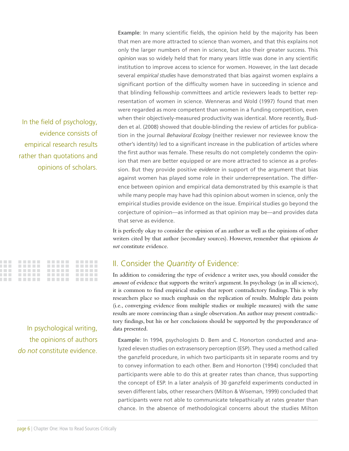In the field of psychology, evidence consists of empirical research results rather than quotations and opinions of scholars.

|  | . |
|--|---|
|  | . |
|  | . |
|  |   |

In psychological writing, the opinions of authors *do not* constitute evidence. **Example**: In many scientific fields, the opinion held by the majority has been that men are more attracted to science than women, and that this explains not only the larger numbers of men in science, but also their greater success. This *opinion* was so widely held that for many years little was done in any scientific institution to improve access to science for women. However, in the last decade several *empirical studies* have demonstrated that bias against women explains a significant portion of the difficulty women have in succeeding in science and that blinding fellowship committees and article reviewers leads to better representation of women in science. Wenneras and Wold (1997) found that men were regarded as more competent than women in a funding competition, even when their objectively-measured productivity was identical. More recently, Budden et al. (2008) showed that double-blinding the review of articles for publication in the journal *Behavioral Ecology* (neither reviewer nor reviewee know the other's identity) led to a significant increase in the publication of articles where the first author was female. These results do not completely condemn the opinion that men are better equipped or are more attracted to science as a profession. But they provide positive *evidence* in support of the argument that bias against women has played some role in their underrepresentation. The difference between opinion and empirical data demonstrated by this example is that while many people may have had this opinion about women in science, only the empirical studies provide evidence on the issue. Empirical studies go beyond the conjecture of opinion—as informed as that opinion may be—and provides data that serve as evidence.

It is perfectly okay to consider the opinion of an author as well as the opinions of other writers cited by that author (secondary sources). However, remember that opinions *do not* constitute evidence.

### II. Consider the *Quantity* of Evidence:

In addition to considering the type of evidence a writer uses, you should consider the *amount* of evidence that supports the writer's argument. In psychology (as in all science), it is common to find empirical studies that report contradictory findings. This is why researchers place so much emphasis on the replication of results. Multiple data points (i.e., converging evidence from multiple studies or multiple measures) with the same results are more convincing than a single observation. An author may present contradictory findings, but his or her conclusions should be supported by the preponderance of data presented.

**Example**: In 1994, psychologists D. Bem and C. Honorton conducted and analyzed eleven studies on extrasensory perception (ESP). They used a method called the ganzfeld procedure, in which two participants sit in separate rooms and try to convey information to each other. Bem and Honorton (1994) concluded that participants were able to do this at greater rates than chance, thus supporting the concept of ESP. In a later analysis of 30 ganzfeld experiments conducted in seven different labs, other researchers (Milton & Wiseman, 1999) concluded that participants were not able to communicate telepathically at rates greater than chance. In the absence of methodological concerns about the studies Milton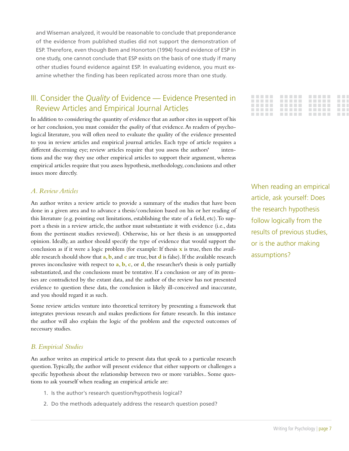and Wiseman analyzed, it would be reasonable to conclude that preponderance of the evidence from published studies did not support the demonstration of ESP. Therefore, even though Bem and Honorton (1994) found evidence of ESP in one study, one cannot conclude that ESP exists on the basis of one study if many other studies found evidence against ESP. In evaluating evidence, you must examine whether the finding has been replicated across more than one study.

## III. Consider the *Quality* of Evidence — Evidence Presented in Review Articles and Empirical Journal Articles

In addition to considering the quantity of evidence that an author cites in support of his or her conclusion, you must consider the *quality* of that evidence. As readers of psychological literature, you will often need to evaluate the quality of the evidence presented to you in review articles and empirical journal articles. Each type of article requires a different discerning eye; review articles require that you assess the authors' intentions and the way they use other empirical articles to support their argument, whereas empirical articles require that you assess hypothesis, methodology, conclusions and other issues more directly.

#### *A. Review Articles*

An author writes a review article to provide a summary of the studies that have been done in a given area and to advance a thesis/conclusion based on his or her reading of this literature (e.g. pointing out limitations, establishing the state of a field, etc). To support a thesis in a review article, the author must substantiate it with evidence (i.e., data from the pertinent studies reviewed). Otherwise, his or her thesis is an unsupported opinion. Ideally, an author should specify the type of evidence that would support the conclusion as if it were a logic problem (for example: If thesis **x** is true, then the available research should show that **a**, **b**, and **c** are true, but **d** is false). If the available research proves inconclusive with respect to **a**, **b**, **c**, or **d**, the researcher's thesis is only partially substantiated, and the conclusions must be tentative. If a conclusion or any of its premises are contradicted by the extant data, and the author of the review has not presented evidence to question these data, the conclusion is likely ill-conceived and inaccurate, and you should regard it as such.

Some review articles venture into theoretical territory by presenting a framework that integrates previous research and makes predictions for future research. In this instance the author will also explain the logic of the problem and the expected outcomes of necessary studies.

#### *B. Empirical Studies*

An author writes an empirical article to present data that speak to a particular research question. Typically, the author will present evidence that either supports or challenges a specific hypothesis about the relationship between two or more variables.. Some questions to ask yourself when reading an empirical article are:

- 1. Is the author's research question/hypothesis logical?
- 2. Do the methods adequately address the research question posed?



When reading an empirical article, ask yourself: Does the research hypothesis follow logically from the results of previous studies, or is the author making assumptions?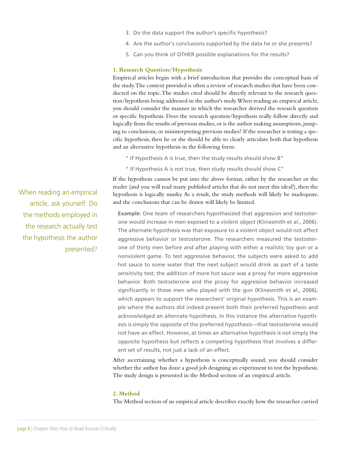- 3. Do the data support the author's specific hypothesis?
- 4. Are the author's conclusions supported by the data he or she presents?
- 5. Can you think of OTHER possible explanations for the results?

#### **1. Research Question/Hypothesis**

Empirical articles begin with a brief introduction that provides the conceptual basis of the study. The context provided is often a review of research studies that have been conducted on the topic. The studies cited should be directly relevant to the research question/hypothesis being addressed in the author's study. When reading an empirical article, you should consider the manner in which the researcher derived the research question or specific hypothesis. Does the research question/hypothesis really follow directly and logically from the results of previous studies, or is the author making assumptions, jumping to conclusions, or misinterpreting previous studies? If the researcher is testing a specific hypothesis, then he or she should be able to clearly articulate both that hypothesis and an alternative hypothesis in the following form:

- " If Hypothesis A is true, then the study results should show B"
- " If Hypothesis A is not true, then study results should show C"

If the hypothesis cannot be put into the above format, either by the researcher or the reader (and you will read many published articles that do not meet this ideal!), then the hypothesis is logically murky. As a result, the study methods will likely be inadequate, and the conclusions that can be drawn will likely be limited.

**Example**: One team of researchers hypothesized that aggression and testosterone would increase in men exposed to a violent object (Klinesmith et al., 2006). The alternate hypothesis was that exposure to a violent object would not affect aggressive behavior or testosterone. The researchers measured the testosterone of thirty men before and after playing with either a realistic toy gun or a nonviolent game. To test aggressive behavior, the subjects were asked to add hot sauce to some water that the next subject would drink as part of a taste sensitivity test; the addition of more hot sauce was a proxy for more aggressive behavior. Both testosterone and the proxy for aggressive behavior increased significantly in those men who played with the gun (Klinesmith et al., 2006), which appears to support the researchers' original hypothesis. This is an example where the authors did indeed present both their preferred hypothesis and acknowledged an alternate hypothesis. In this instance the alternative hypothesis is simply the opposite of the preferred hypothesis—that testosterone would not have an effect. However, at times an alternative hypothesis is not simply the opposite hypothesis but reflects a competing hypothesis that involves a different set of results, not just a lack of an effect.

After ascertaining whether a hypothesis is conceptually sound, you should consider whether the author has done a good job designing an experiment to test the hypothesis. The study design is presented in the Method section of an empirical article.

#### **2. Method**

The Method section of an empirical article describes exactly how the researcher carried

When reading an empirical article, ask yourself: Do the methods employed in the research actually test the hypothesis the author presented?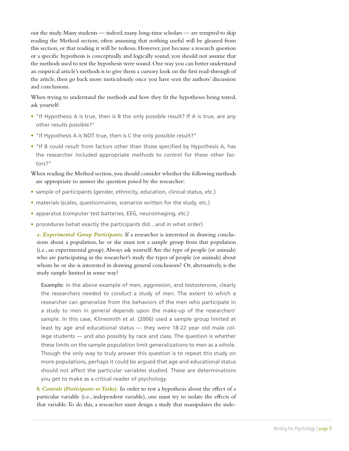out the study. Many students — indeed, many long-time scholars — are tempted to skip reading the Method section; often assuming that nothing useful will be gleaned from this section, or that reading it will be tedious. However, just because a research question or a specific hypothesis is conceptually and logically sound, you should not assume that the methods used to test the hypothesis were sound. One way you can better understand an empirical article's methods is to give them a cursory look on the first read-through of the article, then go back more meticulously once you have seen the authors' discussion and conclusions.

When trying to understand the methods and how they fit the hypotheses being tested, ask yourself:

- "If Hypothesis A is true, then is B the only possible result? If A is true, are any other results possible?"
- "If Hypothesis A is NOT true, then is C the only possible result?"
- "If B could result from factors other than those specified by Hypothesis A, has the researcher included appropriate methods to control for these other factors?"

When reading the Method section, you should consider whether the following methods are appropriate to answer the question posed by the researcher:

- sample of participants (gender, ethnicity, education, clinical status, etc.)
- materials (scales, questionnaires, scenarios written for the study, etc.)
- apparatus (computer test batteries, EEG, neuroimaging, etc.)
- procedures (what exactly the participants did...and in what order)

*a. Experimental Group Participants.* If a researcher is interested in drawing conclusions about a population, he or she must test a sample group from that population (i.e., an experimental group). Always ask yourself: Are the type of people (or animals) who are participating in the researcher's study the types of people (or animals) about whom he or she is interested in drawing general conclusions? Or, alternatively, is the study sample limited in some way?

**Example**: In the above example of men, aggression, and testosterone, clearly the researchers needed to conduct a study of men. The extent to which a researcher can generalize from the behaviors of the men who participate in a study to men in general depends upon the make-up of the researchers' sample. In this case, Klinesmith et al. (2006) used a sample group limited at least by age and educational status — they were 18-22 year old male college students — and also possibly by race and class. The question is whether these limits on the sample population limit generalizations to men as a whole. Though the only way to truly answer this question is to repeat this study on more populations, perhaps it could be argued that age and educational status should not affect the particular variables studied. These are determinations you get to make as a critical reader of psychology.

*b. Controls (Participants or Tasks).* In order to test a hypothesis about the effect of a particular variable (i.e., independent variable), one must try to isolate the effects of that variable. To do this, a researcher must design a study that manipulates the inde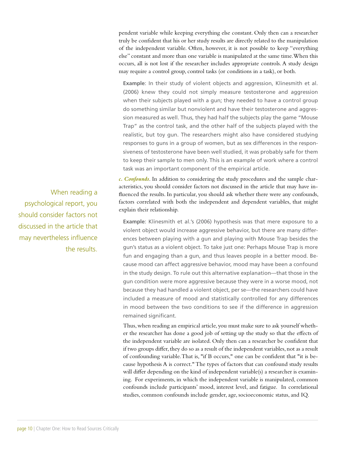pendent variable while keeping everything else constant. Only then can a researcher truly be confident that his or her study results are directly related to the manipulation of the independent variable. Often, however, it is not possible to keep "everything else" constant and more than one variable is manipulated at the same time. When this occurs, all is not lost if the researcher includes appropriate controls. A study design may require a control group, control tasks (or conditions in a task), or both.

**Example**: In their study of violent objects and aggression, Klinesmith et al. (2006) knew they could not simply measure testosterone and aggression when their subjects played with a gun; they needed to have a control group do something similar but nonviolent and have their testosterone and aggression measured as well. Thus, they had half the subjects play the game "Mouse Trap" as the control task, and the other half of the subjects played with the realistic, but toy gun. The researchers might also have considered studying responses to guns in a group of women, but as sex differences in the responsiveness of testosterone have been well studied, it was probably safe for them to keep their sample to men only. This is an example of work where a control task was an important component of the empirical article.

*c. Confounds*. In addition to considering the study procedures and the sample characteristics, you should consider factors not discussed in the article that may have influenced the results. In particular, you should ask whether there were any confounds, factors correlated with both the independent and dependent variables, that might explain their relationship.

**Example**: Klinesmith et al.'s (2006) hypothesis was that mere exposure to a violent object would increase aggressive behavior, but there are many differences between playing with a gun and playing with Mouse Trap besides the gun's status as a violent object. To take just one: Perhaps Mouse Trap is more fun and engaging than a gun, and thus leaves people in a better mood. Because mood can affect aggressive behavior, mood may have been a confound in the study design. To rule out this alternative explanation—that those in the gun condition were more aggressive because they were in a worse mood, not because they had handled a violent object, per se—the researchers could have included a measure of mood and statistically controlled for any differences in mood between the two conditions to see if the difference in aggression remained significant.

Thus, when reading an empirical article, you must make sure to ask yourself whether the researcher has done a good job of setting up the study so that the effects of the independent variable are isolated. Only then can a researcher be confident that if two groups differ, they do so as a result of the independent variables, not as a result of confounding variable. That is, "if B occurs," one can be confident that "it is because hypothesis A is correct." The types of factors that can confound study results will differ depending on the kind of independent variable(s) a researcher is examining. For experiments, in which the independent variable is manipulated, common confounds include participants' mood, interest level, and fatigue. In correlational studies, common confounds include gender, age, socioeconomic status, and IQ.

When reading a psychological report, you should consider factors not discussed in the article that may nevertheless influence the results.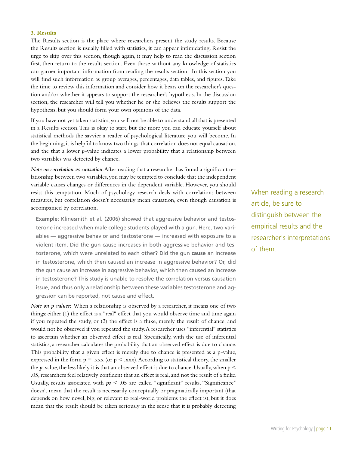#### **3. Results**

The Results section is the place where researchers present the study results. Because the Results section is usually filled with statistics, it can appear intimidating. Resist the urge to skip over this section, though again, it may help to read the discussion section first, then return to the results section. Even those without any knowledge of statistics can garner important information from reading the results section. In this section you will find such information as group averages, percentages, data tables, and figures. Take the time to review this information and consider how it bears on the researcher's question and/or whether it appears to support the researcher's hypothesis. In the discussion section, the researcher will tell you whether he or she believes the results support the hypothesis, but you should form your own opinions of the data.

If you have not yet taken statistics, you will not be able to understand all that is presented in a Results section. This is okay to start, but the more you can educate yourself about statistical methods the savvier a reader of psychological literature you will become. In the beginning, it is helpful to know two things: that correlation does not equal causation, and the that a lower *p*-value indicates a lower probability that a relationship between two variables was detected by chance.

*Note on correlation vs causation*: After reading that a researcher has found a significant relationship between two variables, you may be tempted to conclude that the independent variable causes changes or differences in the dependent variable. However, you should resist this temptation. Much of psychology research deals with correlations between measures, but correlation doesn't necessarily mean causation, even though causation is accompanied by correlation.

**Example**: Klinesmith et al. (2006) showed that aggressive behavior and testosterone increased when male college students played with a gun. Here, two variables — aggressive behavior and testosterone — increased with exposure to a violent item. Did the gun cause increases in both aggressive behavior and testosterone, which were unrelated to each other? Did the gun **cause** an increase in testosterone, which then caused an increase in aggressive behavior? Or, did the gun cause an increase in aggressive behavior, which then caused an increase in testosterone? This study is unable to resolve the correlation versus causation issue, and thus only a relationship between these variables testosterone and aggression can be reported, not cause and effect.

*Note on p values*: When a relationship is observed by a researcher, it means one of two things: either (1) the effect is a "real" effect that you would observe time and time again if you repeated the study, or (2) the effect is a fluke, merely the result of chance, and would not be observed if you repeated the study. A researcher uses "inferential" statistics to ascertain whether an observed effect is real. Specifically, with the use of inferential statistics, a researcher calculates the probability that an observed effect is due to chance. This probability that a given effect is merely due to chance is presented as a p-value, expressed in the form  $p = .xxx$  (or  $p < .xxx$ ). According to statistical theory, the smaller the  $p$ -value, the less likely it is that an observed effect is due to chance. Usually, when  $p <$ .05, researchers feel relatively confident that an effect is real, and not the result of a fluke. Usually, results associated with *ps* < .05 are called "significant" results. "Significance" doesn't mean that the result is necessarily conceptually or pragmatically important (that depends on how novel, big, or relevant to real-world problems the effect is), but it does mean that the result should be taken seriously in the sense that it is probably detecting

When reading a research article, be sure to distinguish between the empirical results and the researcher's interpretations of them.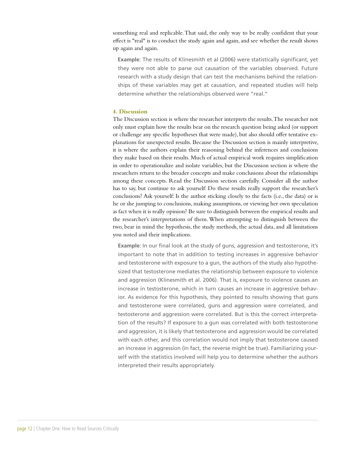something real and replicable. That said, the only way to be really confident that your effect is "real" is to conduct the study again and again, and see whether the result shows up again and again.

 **Example**: The results of Klinesmith et al (2006) were statistically significant, yet they were not able to parse out causation of the variables observed. Future research with a study design that can test the mechanisms behind the relationships of these variables may get at causation, and repeated studies will help determine whether the relationships observed were "real."

#### **4. Discussion**

The Discussion section is where the researcher interprets the results. The researcher not only must explain how the results bear on the research question being asked (or support or challenge any specific hypotheses that were made), but also should offer tentative explanations for unexpected results. Because the Discussion section is mainly interpretive, it is where the authors explain their reasoning behind the inferences and conclusions they make based on their results. Much of actual empirical work requires simplification in order to operationalize and isolate variables, but the Discussion section is where the researchers return to the broader concepts and make conclusions about the relationships among these concepts. Read the Discussion section carefully. Consider all the author has to say, but continue to ask yourself: Do these results really support the researcher's conclusions? Ask yourself: Is the author sticking closely to the facts (i.e., the data) or is he or she jumping to conclusions, making assumptions, or viewing her own speculation as fact when it is really opinion? Be sure to distinguish between the empirical results and the researcher's interpretations of them. When attempting to distinguish between the two, bear in mind the hypothesis, the study methods, the actual data, and all limitations you noted and their implications.

**Example**: In our final look at the study of guns, aggression and testosterone, it's important to note that in addition to testing increases in aggressive behavior and testosterone with exposure to a gun, the authors of the study also hypothesized that testosterone mediates the relationship between exposure to violence and aggression (Klinesmith et al. 2006). That is, exposure to violence causes an increase in testosterone, which in turn causes an increase in aggressive behavior. As evidence for this hypothesis, they pointed to results showing that guns and testosterone were correlated, guns and aggression were correlated, and testosterone and aggression were correlated. But is this the correct interpretation of the results? If exposure to a gun was correlated with both testosterone and aggression, it is likely that testosterone and aggression would be correlated with each other, and this correlation would not imply that testosterone caused an increase in aggression (in fact, the reverse might be true). Familiarizing yourself with the statistics involved will help you to determine whether the authors interpreted their results appropriately.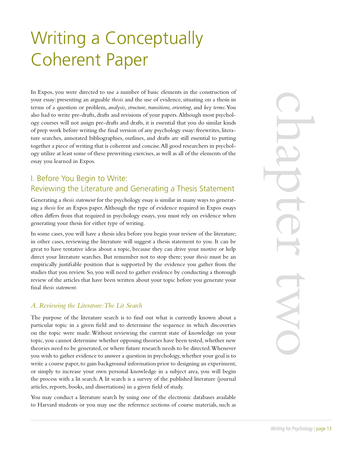## Writing a Conceptually Coherent Paper

In Expos, you were directed to use a number of basic elements in the construction of your essay: presenting an arguable *thesis* and the use of evidence, situating on a thesis in terms of a question or problem, *analysis*, *structure, transitions, orienting*, and *key terms*. You also had to write pre-drafts, drafts and revisions of your papers. Although most psychology courses will not assign pre-drafts and drafts, it is essential that you do similar kinds of prep work before writing the final version of any psychology essay: freewrites, literature searches, annotated bibliographies, outlines, and drafts are still essential to putting together a piece of writing that is coherent and concise. All good researchers in psychology utilize at least some of these prewriting exercises, as well as all of the elements of the essay you learned in Expos.

## I. Before You Begin to Write: Reviewing the Literature and Generating a Thesis Statement

Generating a *thesis statement* for the psychology essay is similar in many ways to generating a *thesis* for an Expos paper. Although the type of evidence required in Expos essays often differs from that required in psychology essays, you must rely on evidence when generating your thesis for either type of writing.

In some cases, you will have a thesis idea before you begin your review of the literature; in other cases, reviewing the literature will suggest a thesis statement to you. It can be great to have tentative ideas about a topic, because they can drive your motive or help direct your literature searches. But remember not to stop there; your *thesis* must be an empirically justifiable position that is supported by the evidence you gather from the studies that you review. So, you will need to gather evidence by conducting a thorough review of the articles that have been written about your topic before you generate your final *thesis statement*.

#### *A. Reviewing the Literature: The Lit Search*

The purpose of the literature search is to find out what is currently known about a particular topic in a given field and to determine the sequence in which discoveries on the topic were made. Without reviewing the current state of knowledge on your topic, you cannot determine whether opposing theories have been tested, whether new theories need to be generated, or where future research needs to be directed. Whenever you wish to gather evidence to answer a question in psychology, whether your goal is to write a course paper, to gain background information prior to designing an experiment, or simply to increase your own personal knowledge in a subject area, you will begin the process with a lit search. A lit search is a survey of the published literature (journal articles, reports, books, and dissertations) in a given field of study.

You may conduct a literature search by using one of the electronic databases available to Harvard students or you may use the reference sections of course materials, such as Writing for Psychology | page 13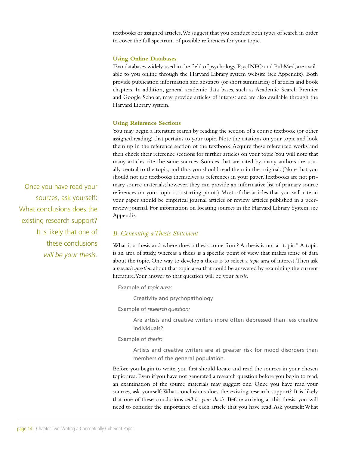textbooks or assigned articles. We suggest that you conduct both types of search in order to cover the full spectrum of possible references for your topic.

#### **Using Online Databases**

Two databases widely used in the field of psychology, PsycINFO and PubMed, are available to you online through the Harvard Library system website (see Appendix). Both provide publication information and abstracts (or short summaries) of articles and book chapters. In addition, general academic data bases, such as Academic Search Premier and Google Scholar, may provide articles of interest and are also available through the Harvard Library system.

#### **Using Reference Sections**

You may begin a literature search by reading the section of a course textbook (or other assigned reading) that pertains to your topic. Note the citations on your topic and look them up in the reference section of the textbook. Acquire these referenced works and then check their reference sections for further articles on your topic. You will note that many articles cite the same sources. Sources that are cited by many authors are usually central to the topic, and thus you should read them in the original. (Note that you should not use textbooks themselves as references in your paper. Textbooks are not primary source materials; however, they can provide an informative list of primary source references on your topic as a starting point.) Most of the articles that you will cite in your paper should be empirical journal articles or review articles published in a peerreview journal. For information on locating sources in the Harvard Library System, see Appendix.

#### *B. Generating a Thesis Statement*

What is a thesis and where does a thesis come from? A thesis is not a "topic." A topic is an area of study, whereas a thesis is a specific point of view that makes sense of data about the topic. One way to develop a thesis is to select a *topic area* of interest. Then ask a *research question* about that topic area that could be answered by examining the current literature. Your answer to that question will be your *thesis*.

Example of *topic area:* 

Creativity and psychopathology

Example of *research question:* 

Are artists and creative writers more often depressed than less creative individuals?

Example of *thesis*:

Artists and creative writers are at greater risk for mood disorders than members of the general population.

Before you begin to write, you first should locate and read the sources in your chosen topic area. Even if you have not generated a research question before you begin to read, an examination of the source materials may suggest one. Once you have read your sources, ask yourself: What conclusions does the existing research support? It is likely that one of these conclusions *will be your thesis*. Before arriving at this thesis, you will need to consider the importance of each article that you have read. Ask yourself: What

Once you have read your sources, ask yourself: What conclusions does the existing research support? It is likely that one of these conclusions *will be your thesis.*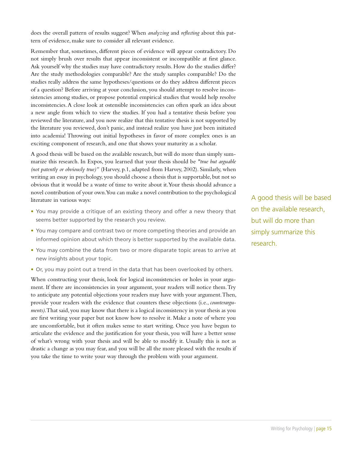does the overall pattern of results suggest? When *analyzing* and *reflecting* about this pattern of evidence, make sure to consider all relevant evidence.

Remember that, sometimes, different pieces of evidence will appear contradictory. Do not simply brush over results that appear inconsistent or incompatible at first glance. Ask yourself why the studies may have contradictory results. How do the studies differ? Are the study methodologies comparable? Are the study samples comparable? Do the studies really address the same hypotheses/questions or do they address different pieces of a question? Before arriving at your conclusion, you should attempt to resolve inconsistencies among studies, or propose potential empirical studies that would help resolve inconsistencies. A close look at ostensible inconsistencies can often spark an idea about a new angle from which to view the studies. If you had a tentative thesis before you reviewed the literature, and you now realize that this tentative thesis is not supported by the literature you reviewed, don't panic, and instead realize you have just been initiated into academia! Throwing out initial hypotheses in favor of more complex ones is an exciting component of research, and one that shows your maturity as a scholar.

A good thesis will be based on the available research, but will do more than simply summarize this research. In Expos, you learned that your thesis should be *"true but arguable (not patently or obviously true)"* (Harvey, p.1, adapted from Harvey, 2002). Similarly, when writing an essay in psychology, you should choose a thesis that is supportable, but not so obvious that it would be a waste of time to write about it. Your thesis should advance a novel contribution of your own. You can make a novel contribution to the psychological literature in various ways:

- You may provide a critique of an existing theory and offer a new theory that seems better supported by the research you review.
- You may compare and contrast two or more competing theories and provide an informed opinion about which theory is better supported by the available data.
- You may combine the data from two or more disparate topic areas to arrive at new insights about your topic.
- Or, you may point out a trend in the data that has been overlooked by others.

When constructing your thesis, look for logical inconsistencies or holes in your argument. If there are inconsistencies in your argument, your readers will notice them. Try to anticipate any potential objections your readers may have with your argument. Then, provide your readers with the evidence that counters these objections (i.e., *counterarguments)*. That said, you may know that there is a logical inconsistency in your thesis as you are first writing your paper but not know how to resolve it. Make a note of where you are uncomfortable, but it often makes sense to start writing. Once you have begun to articulate the evidence and the justification for your thesis, you will have a better sense of what's wrong with your thesis and will be able to modify it. Usually this is not as drastic a change as you may fear, and you will be all the more pleased with the results if you take the time to write your way through the problem with your argument.

A good thesis will be based on the available research, but will do more than simply summarize this research.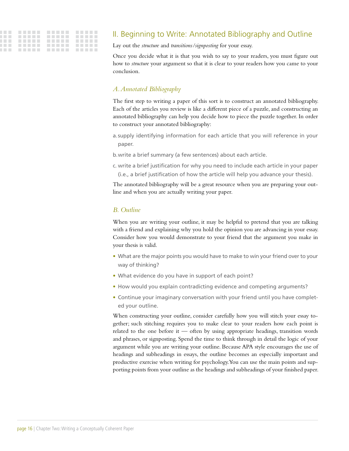## II. Beginning to Write: Annotated Bibliography and Outline

Lay out the *structure* and *transitions/signposting* for your essay.

Once you decide what it is that you wish to say to your readers, you must figure out how to *structure* your argument so that it is clear to your readers how you came to your conclusion.

#### *A. Annotated Bibliography*

The first step to writing a paper of this sort is to construct an annotated bibliography. Each of the articles you review is like a different piece of a puzzle, and constructing an annotated bibliography can help you decide how to piece the puzzle together. In order to construct your annotated bibliography:

a.supply identifying information for each article that you will reference in your paper.

b.write a brief summary (a few sentences) about each article.

c. write a brief justification for why you need to include each article in your paper (i.e., a brief justification of how the article will help you advance your thesis).

The annotated bibliography will be a great resource when you are preparing your outline and when you are actually writing your paper.

#### *B. Outline*

When you are writing your outline, it may be helpful to pretend that you are talking with a friend and explaining why you hold the opinion you are advancing in your essay. Consider how you would demonstrate to your friend that the argument you make in your thesis is valid.

- What are the major points you would have to make to win your friend over to your way of thinking?
- What evidence do you have in support of each point?
- How would you explain contradicting evidence and competing arguments?
- Continue your imaginary conversation with your friend until you have completed your outline.

When constructing your outline, consider carefully how you will stitch your essay together; such stitching requires you to make clear to your readers how each point is related to the one before it — often by using appropriate headings, transition words and phrases, or signposting. Spend the time to think through in detail the logic of your argument while you are writing your outline. Because APA style encourages the use of headings and subheadings in essays, the outline becomes an especially important and productive exercise when writing for psychology. You can use the main points and supporting points from your outline as the headings and subheadings of your finished paper.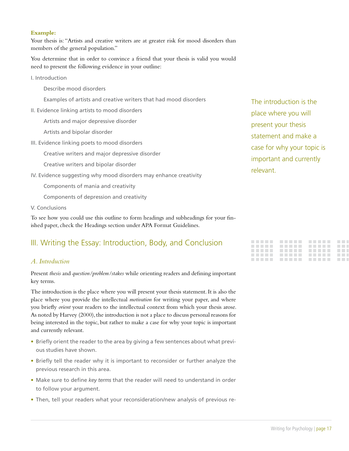#### **Example:**

Your thesis is: "Artists and creative writers are at greater risk for mood disorders than members of the general population."

You determine that in order to convince a friend that your thesis is valid you would need to present the following evidence in your outline:

I. Introduction

Describe mood disorders

Examples of artists and creative writers that had mood disorders

II. Evidence linking artists to mood disorders

Artists and major depressive disorder

Artists and bipolar disorder

III. Evidence linking poets to mood disorders

Creative writers and major depressive disorder

Creative writers and bipolar disorder

IV. Evidence suggesting why mood disorders may enhance creativity

Components of mania and creativity

Components of depression and creativity

V. Conclusions

To see how you could use this outline to form headings and subheadings for your finished paper, check the Headings section under APA Format Guidelines.

### III. Writing the Essay: Introduction, Body, and Conclusion

#### *A. Introduction*

Present *thesis* and *question/problem/stakes* while orienting readers and defining important key terms.

The introduction is the place where you will present your thesis statement. It is also the place where you provide the intellectual *motivation* for writing your paper, and where you briefly *orient* your readers to the intellectual context from which your thesis arose. As noted by Harvey (2000), the introduction is not a place to discuss personal reasons for being interested in the topic, but rather to make a case for why your topic is important and currently relevant.

- Briefly orient the reader to the area by giving a few sentences about what previous studies have shown.
- Briefly tell the reader why it is important to reconsider or further analyze the previous research in this area.
- Make sure to define *key terms* that the reader will need to understand in order to follow your argument.
- Then, tell your readers what your reconsideration/new analysis of previous re-

The introduction is the place where you will present your thesis statement and make a case for why your topic is important and currently relevant.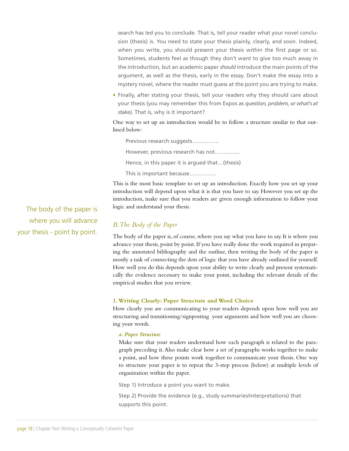search has led you to conclude. That is, tell your reader what your novel conclusion (thesis) is. You need to state your thesis plainly, clearly, and soon. Indeed, when you write, you should present your thesis within the first page or so. Sometimes, students feel as though they don't want to give too much away in the introduction, but an academic paper *should* introduce the main points of the argument, as well as the thesis, early in the essay. Don't make the essay into a mystery novel, where the reader must guess at the point you are trying to make.

• Finally, after stating your thesis, tell your readers why they should care about your thesis (you may remember this from Expos as *question, problem, or what's at stake)*. That is, why is it important?

One way to set up an introduction would be to follow a structure similar to that outlined below:

Previous research suggests…………… However, previous research has not………….. Hence, in this paper it is argued that…(thesis) This is important because……………

This is the most basic template to set up an introduction. Exactly how you set up your introduction will depend upon what it is that you have to say. However you set up the introduction, make sure that you readers are given enough information to follow your logic and understand your thesis.

#### *B. The Body of the Paper*

The body of the paper is, of course, where you say what you have to say. It is where you advance your thesis, point by point. If you have really done the work required in preparing the annotated bibliography and the outline, then writing the body of the paper is mostly a task of connecting the dots of logic that you have already outlined for yourself. How well you do this depends upon your ability to write clearly and present systematically the evidence necessary to make your point, including the relevant details of the empirical studies that you review.

#### **1. Writing Clearly: Paper Structure and Word Choice**

How clearly you are communicating to your readers depends upon how well you are structuring and transitioning/signposting your arguments and how well you are choosing your words.

#### *a. Paper Structure*

Make sure that your readers understand how each paragraph is related to the paragraph preceding it. Also make clear how a set of paragraphs works together to make a point, and how these points work together to communicate your thesis. One way to structure your paper is to repeat the 3-step process (below) at multiple levels of organization within the paper.

Step 1) Introduce a point you want to make.

Step 2) Provide the evidence (e.g., study summaries/interpretations) that supports this point.

The body of the paper is where you will advance your thesis - point by point.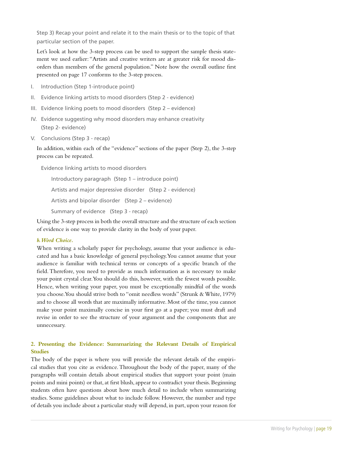Step 3) Recap your point and relate it to the main thesis or to the topic of that particular section of the paper.

Let's look at how the 3-step process can be used to support the sample thesis statement we used earlier: "Artists and creative writers are at greater risk for mood disorders than members of the general population." Note how the overall outline first presented on page 17 conforms to the 3-step process.

- I. Introduction (Step 1-introduce point)
- II. Evidence linking artists to mood disorders (Step 2 evidence)
- III. Evidence linking poets to mood disorders (Step 2 evidence)
- IV. Evidence suggesting why mood disorders may enhance creativity (Step 2- evidence)
- V. Conclusions (Step 3 recap)

In addition, within each of the "evidence" sections of the paper (Step 2), the 3-step process can be repeated.

Evidence linking artists to mood disorders

Introductory paragraph (Step 1 – introduce point) Artists and major depressive disorder (Step 2 - evidence) Artists and bipolar disorder (Step 2 – evidence) Summary of evidence (Step 3 - recap)

Using the 3-step process in both the overall structure and the structure of each section of evidence is one way to provide clarity in the body of your paper.

#### *b. Word Choice.*

When writing a scholarly paper for psychology, assume that your audience is educated and has a basic knowledge of general psychology. You cannot assume that your audience is familiar with technical terms or concepts of a specific branch of the field. Therefore, you need to provide as much information as is necessary to make your point crystal clear. You should do this, however, with the fewest words possible. Hence, when writing your paper, you must be exceptionally mindful of the words you choose. You should strive both to "omit needless words" (Strunk & White, 1979) and to choose all words that are maximally informative. Most of the time, you cannot make your point maximally concise in your first go at a paper; you must draft and revise in order to see the structure of your argument and the components that are unnecessary.

#### **2. Presenting the Evidence: Summarizing the Relevant Details of Empirical Studies**

The body of the paper is where you will provide the relevant details of the empirical studies that you cite as evidence. Throughout the body of the paper, many of the paragraphs will contain details about empirical studies that support your point (main points and mini points) or that, at first blush, appear to contradict your thesis. Beginning students often have questions about how much detail to include when summarizing studies. Some guidelines about what to include follow. However, the number and type of details you include about a particular study will depend, in part, upon your reason for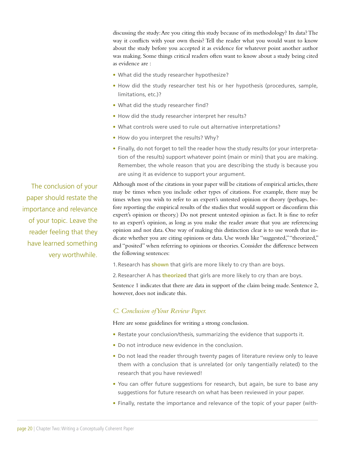discussing the study: Are you citing this study because of its methodology? Its data? The way it conflicts with your own thesis? Tell the reader what you would want to know about the study before you accepted it as evidence for whatever point another author was making. Some things critical readers often want to know about a study being cited as evidence are :

- What did the study researcher hypothesize?
- How did the study researcher test his or her hypothesis (procedures, sample, limitations, etc.)?
- What did the study researcher find?
- How did the study researcher interpret her results?
- What controls were used to rule out alternative interpretations?
- How do you interpret the results? Why?
- Finally, do not forget to tell the reader how the study results (or your interpretation of the results) support whatever point (main or mini) that you are making. Remember, the whole reason that you are describing the study is because you are using it as evidence to support your argument.

Although most of the citations in your paper will be citations of empirical articles, there may be times when you include other types of citations. For example, there may be times when you wish to refer to an expert's untested opinion or theory (perhaps, before reporting the empirical results of the studies that would support or disconfirm this expert's opinion or theory.) Do not present untested opinion as fact. It is fine to refer to an expert's opinion, as long as you make the reader aware that you are referencing opinion and not data. One way of making this distinction clear is to use words that indicate whether you are citing opinions or data. Use words like "suggested," "theorized," and "posited" when referring to opinions or theories. Consider the difference between the following sentences:

1.Research has **shown** that girls are more likely to cry than are boys.

2.Researcher A has **theorized** that girls are more likely to cry than are boys.

Sentence 1 indicates that there are data in support of the claim being made. Sentence 2, however, does not indicate this.

#### *C. Conclusion of Your Review Paper.*

Here are some guidelines for writing a strong conclusion.

- Restate your conclusion/thesis, summarizing the evidence that supports it.
- Do not introduce new evidence in the conclusion.
- Do not lead the reader through twenty pages of literature review only to leave them with a conclusion that is unrelated (or only tangentially related) to the research that you have reviewed!
- You can offer future suggestions for research, but again, be sure to base any suggestions for future research on what has been reviewed in your paper.
- Finally, restate the importance and relevance of the topic of your paper (with-

The conclusion of your paper should restate the importance and relevance of your topic. Leave the reader feeling that they have learned something very worthwhile.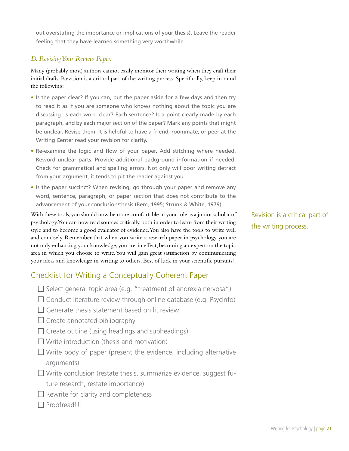out overstating the importance or implications of your thesis). Leave the reader feeling that they have learned something very worthwhile.

#### *D. Revising Your Review Paper.*

Many (probably most) authors cannot easily monitor their writing when they craft their initial drafts. Revision is a critical part of the writing process. Specifically, keep in mind the following:

- Is the paper clear? If you can, put the paper aside for a few days and then try to read it as if you are someone who knows nothing about the topic you are discussing. Is each word clear? Each sentence? Is a point clearly made by each paragraph, and by each major section of the paper? Mark any points that might be unclear. Revise them. It is helpful to have a friend, roommate, or peer at the Writing Center read your revision for clarity.
- Re-examine the logic and flow of your paper. Add stitching where needed. Reword unclear parts. Provide additional background information if needed. Check for grammatical and spelling errors. Not only will poor writing detract from your argument, it tends to pit the reader against you.
- Is the paper succinct? When revising, go through your paper and remove any word, sentence, paragraph, or paper section that does not contribute to the advancement of your conclusion/thesis (Bem, 1995; Strunk & White, 1979).

With these tools, you should now be more comfortable in your role as a junior scholar of psychology. You can now read sources critically, both in order to learn from their writing style and to become a good evaluator of evidence. You also have the tools to write well and concisely. Remember that when you write a research paper in psychology you are not only enhancing your knowledge, you are, in effect, becoming an expert on the topic area in which you choose to write. You will gain great satisfaction by communicating your ideas and knowledge in writing to others. Best of luck in your scientific pursuits!

## Checklist for Writing a Conceptually Coherent Paper

- $\Box$  Select general topic area (e.g. "treatment of anorexia nervosa")
- $\Box$  Conduct literature review through online database (e.g. PsycInfo)
- $\Box$  Generate thesis statement based on lit review
- $\Box$  Create annotated bibliography
- $\Box$  Create outline (using headings and subheadings)
- $\Box$  Write introduction (thesis and motivation)
- $\Box$  Write body of paper (present the evidence, including alternative arguments)
- $\Box$  Write conclusion (restate thesis, summarize evidence, suggest future research, restate importance)
- $\Box$  Rewrite for clarity and completeness
- □ Proofread!!!

Revision is a critical part of the writing process.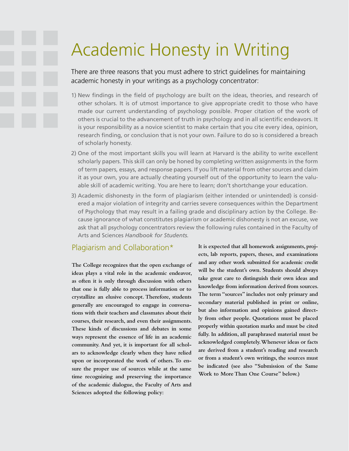## Academic Honesty in Writing

There are three reasons that you must adhere to strict guidelines for maintaining academic honesty in your writings as a psychology concentrator:

- 1) New findings in the field of psychology are built on the ideas, theories, and research of other scholars. It is of utmost importance to give appropriate credit to those who have made our current understanding of psychology possible. Proper citation of the work of others is crucial to the advancement of truth in psychology and in all scientific endeavors. It is your responsibility as a novice scientist to make certain that you cite every idea, opinion, research finding, or conclusion that is not your own. Failure to do so is considered a breach of scholarly honesty.
- 2) One of the most important skills you will learn at Harvard is the ability to write excellent scholarly papers. This skill can only be honed by completing written assignments in the form of term papers, essays, and response papers. If you lift material from other sources and claim it as your own, you are actually cheating yourself out of the opportunity to learn the valuable skill of academic writing. You are here to learn; don't shortchange your education.
- 3) Academic dishonesty in the form of plagiarism (either intended or unintended) is considered a major violation of integrity and carries severe consequences within the Department of Psychology that may result in a failing grade and disciplinary action by the College. Because ignorance of what constitutes plagiarism or academic dishonesty is not an excuse, we ask that all psychology concentrators review the following rules contained in the Faculty of Arts and Sciences *Handbook for Students.*

### Plagiarism and Collaboration\*

**The College recognizes that the open exchange of ideas plays a vital role in the academic endeavor, as often it is only through discussion with others that one is fully able to process information or to crystallize an elusive concept. Therefore, students generally are encouraged to engage in conversations with their teachers and classmates about their courses, their research, and even their assignments. These kinds of discussions and debates in some ways represent the essence of life in an academic community. And yet, it is important for all scholars to acknowledge clearly when they have relied upon or incorporated the work of others. To ensure the proper use of sources while at the same time recognizing and preserving the importance of the academic dialogue, the Faculty of Arts and Sciences adopted the following policy:**

**It is expected that all homework assignments, projects, lab reports, papers, theses, and examinations and any other work submitted for academic credit will be the student's own. Students should always take great care to distinguish their own ideas and knowledge from information derived from sources. The term "sources" includes not only primary and secondary material published in print or online, but also information and opinions gained directly from other people. Quotations must be placed properly within quotation marks and must be cited fully. In addition, all paraphrased material must be acknowledged completely. Whenever ideas or facts are derived from a student's reading and research or from a student's own writings, the sources must be indicated (see also "Submission of the Same Work to More Than One Course" below.)**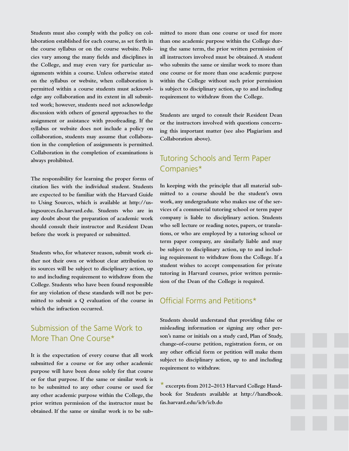**Students must also comply with the policy on collaboration established for each course, as set forth in the course syllabus or on the course website. Policies vary among the many fields and disciplines in the College, and may even vary for particular assignments within a course. Unless otherwise stated on the syllabus or website, when collaboration is permitted within a course students must acknowledge any collaboration and its extent in all submitted work; however, students need not acknowledge discussion with others of general approaches to the assignment or assistance with proofreading. If the syllabus or website does not include a policy on collaboration, students may assume that collaboration in the completion of assignments is permitted. Collaboration in the completion of examinations is always prohibited.**

**The responsibility for learning the proper forms of citation lies with the individual student. Students are expected to be familiar with the Harvard Guide to Using Sources, which is available at http://usingsources.fas.harvard.edu. Students who are in any doubt about the preparation of academic work should consult their instructor and Resident Dean before the work is prepared or submitted.**

**Students who, for whatever reason, submit work either not their own or without clear attribution to its sources will be subject to disciplinary action, up to and including requirement to withdraw from the College. Students who have been found responsible for any violation of these standards will not be permitted to submit a Q evaluation of the course in which the infraction occurred.**

## Submission of the Same Work to More Than One Course\*

**It is the expectation of every course that all work submitted for a course or for any other academic purpose will have been done solely for that course or for that purpose. If the same or similar work is to be submitted to any other course or used for any other academic purpose within the College, the prior written permission of the instructor must be obtained. If the same or similar work is to be sub-** **mitted to more than one course or used for more than one academic purpose within the College during the same term, the prior written permission of all instructors involved must be obtained. A student who submits the same or similar work to more than one course or for more than one academic purpose within the College without such prior permission is subject to disciplinary action, up to and including requirement to withdraw from the College.**

**Students are urged to consult their Resident Dean or the instructors involved with questions concerning this important matter (see also Plagiarism and Collaboration above).**

## Tutoring Schools and Term Paper Companies\*

**In keeping with the principle that all material submitted to a course should be the student's own work, any undergraduate who makes use of the services of a commercial tutoring school or term paper company is liable to disciplinary action. Students who sell lecture or reading notes, papers, or translations, or who are employed by a tutoring school or term paper company, are similarly liable and may be subject to disciplinary action, up to and including requirement to withdraw from the College. If a student wishes to accept compensation for private tutoring in Harvard courses, prior written permission of the Dean of the College is required.** 

### Official Forms and Petitions\*

**Students should understand that providing false or misleading information or signing any other person's name or initials on a study card, Plan of Study, change-of-course petition, registration form, or on any other official form or petition will make them subject to disciplinary action, up to and including requirement to withdraw.**

\* **excerpts from 2012–2013 Harvard College Handbook for Students available at http://handbook. fas.harvard.edu/icb/icb.do**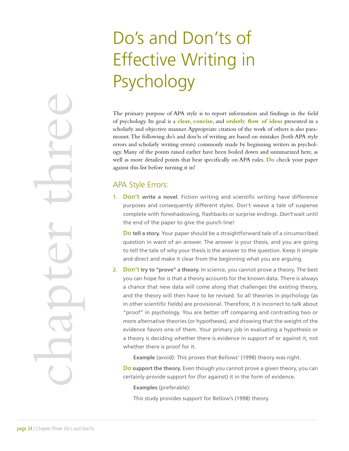## Do's and Don'ts of Effective Writing in Psychology

The primary purpose of APA style is to report information and findings in the field of psychology. Its goal is a **clear**, **concise**, and **orderly flow of ideas** presented in a scholarly and objective manner. Appropriate citation of the work of others is also paramount. The following do's and don'ts of writing are based on mistakes (both APA style errors and scholarly writing errors) commonly made by beginning writers in psychology. Many of the points raised earlier have been boiled down and summarized here, as well as more detailed points that bear specifically on APA rules. **Do** check your paper against this list before turning it in!

### APA Style Errors:

1. **Don't write a novel**. Fiction writing and scientific writing have difference purposes and consequently different styles. Don't weave a tale of suspense complete with foreshadowing, flashbacks or surprise endings. *Don't* wait until the end of the paper to give the punch line!

**Do tell a story.** Your paper should be a straightforward tale of a circumscribed question in want of an answer. The answer is your thesis, and you are going to tell the tale of why your thesis is the answer to the question. Keep it simple and direct and make it clear from the beginning what you are arguing.

2. **Don't try to "prove" a theory.** In science, you cannot prove a theory. The best you can hope for is that a theory accounts for the known data. There is always a chance that new data will come along that challenges the existing theory, and the theory will then have to be revised. So all theories in psychology (as in other scientific fields) are provisional. Therefore, it is incorrect to talk about "proof" in psychology. You are better off comparing and contrasting two or more alternative theories (or hypotheses), and showing that the weight of the evidence favors one of them. Your primary job in evaluating a hypothesis or a theory is deciding whether there is evidence in support of or against it, not whether there is proof for it.

**Example** (avoid): This proves that Bellows' (1998) theory was right.

**Do support the theory.** Even though you cannot prove a given theory, you can certainly provide support for (for against) it in the form of evidence.

**Examples** (preferable):

This study provides support for Bellow's (1998) theory.

Page 24 | chapter Three Do's and D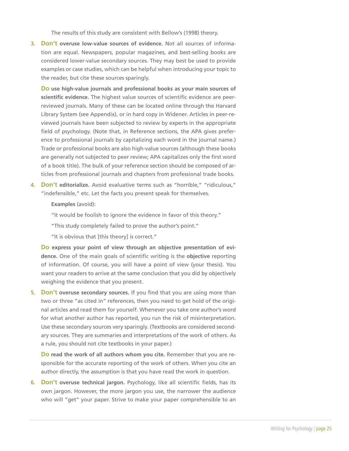The results of this study are consistent with Bellow's (1998) theory.

3. **Don't overuse low-value sources of evidence.** Not all sources of information are equal. Newspapers, popular magazines, and best-selling books are considered lower-value secondary sources. They may best be used to provide examples or case studies, which can be helpful when introducing your topic to the reader, but cite these sources sparingly.

**Do use high-value journals and professional books as your main sources of scientific evidence.** The highest value sources of scientific evidence are peerreviewed journals. Many of these can be located online through the Harvard Library System (see Appendix), or in hard copy in Widener. Articles in peer-reviewed journals have been subjected to review by experts in the appropriate field of psychology. (Note that, in Reference sections, the APA gives preference to professional journals by capitalizing each word in the journal name.) Trade or professional books are also high-value sources (although these books are generally not subjected to peer review; APA capitalizes only the first word of a book title). The bulk of your reference section should be composed of articles from professional journals and chapters from professional trade books.

4. **Don't editorialize.** Avoid evaluative terms such as "horrible," "ridiculous," "indefensible," etc. Let the facts you present speak for themselves.

#### **Examples** (avoid):

"It would be foolish to ignore the evidence in favor of this theory."

"This study completely failed to prove the author's point."

"It is obvious that [this theory] is correct."

**Do express your point of view through an objective presentation of evidence.** One of the main goals of scientific writing is the **objective** reporting of information. Of course, you will have a point of view (your thesis). You want your readers to arrive at the same conclusion that you did by objectively weighing the evidence that you present.

5. **Don't overuse secondary sources.** If you find that you are using more than two or three "as cited in" references, then you need to get hold of the original articles and read them for yourself. Whenever you take one author's word for what another author has reported, you run the risk of misinterpretation. Use these secondary sources very sparingly. (Textbooks are considered secondary sources. They are summaries and interpretations of the work of others. As a rule, you should not cite textbooks in your paper.)

**Do read the work of all authors whom you cite.** Remember that you are responsible for the accurate reporting of the work of others. When you cite an author directly, the assumption is that you have read the work in question.

6. **Don't overuse technical jargon.** Psychology, like all scientific fields, has its own jargon. However, the more jargon you use, the narrower the audience who will "get" your paper. Strive to make your paper comprehensible to an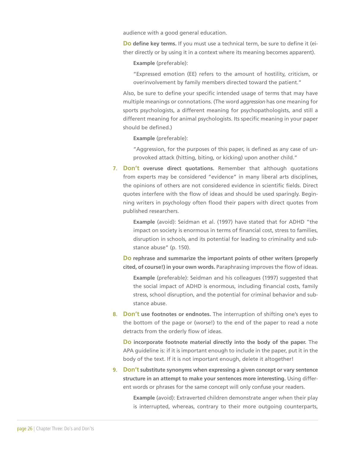audience with a good general education.

**Do define key terms.** If you must use a technical term, be sure to define it (either directly or by using it in a context where its meaning becomes apparent).

**Example** (preferable):

"Expressed emotion (EE) refers to the amount of hostility, criticism, or overinvolvement by family members directed toward the patient."

Also, be sure to define your specific intended usage of terms that may have multiple meanings or connotations. (The word *aggression* has one meaning for sports psychologists, a different meaning for psychopathologists, and still a different meaning for animal psychologists. Its specific meaning in your paper should be defined.)

**Example** (preferable):

"Aggression, for the purposes of this paper, is defined as any case of unprovoked attack (hitting, biting, or kicking) upon another child."

7. **Don't overuse direct quotations.** Remember that although quotations from experts may be considered "evidence" in many liberal arts disciplines, the opinions of others are not considered evidence in scientific fields. Direct quotes interfere with the flow of ideas and should be used sparingly. Beginning writers in psychology often flood their papers with direct quotes from published researchers.

**Example** (avoid): Seidman et al. (1997) have stated that for ADHD "the impact on society is enormous in terms of financial cost, stress to families, disruption in schools, and its potential for leading to criminality and substance abuse" (p. 150).

**Do rephrase and summarize the important points of other writers (properly cited, of course!) in your own words.** Paraphrasing improves the flow of ideas.

**Example** (preferable): Seidman and his colleagues (1997) suggested that the social impact of ADHD is enormous, including financial costs, family stress, school disruption, and the potential for criminal behavior and substance abuse.

8. **Don't use footnotes or endnotes.** The interruption of shifting one's eyes to the bottom of the page or (worse!) to the end of the paper to read a note detracts from the orderly flow of ideas.

**Do incorporate footnote material directly into the body of the paper.** The APA guideline is: if it is important enough to include in the paper, put it in the body of the text. If it is not important enough, delete it altogether!

9. **Don't substitute synonyms when expressing a given concept or vary sentence structure in an attempt to make your sentences more interesting.** Using different words or phrases for the same concept will only confuse your readers.

> **Example** (avoid): Extraverted children demonstrate anger when their play is interrupted, whereas, contrary to their more outgoing counterparts,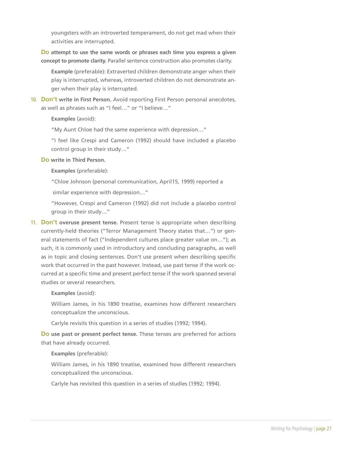youngsters with an introverted temperament, do not get mad when their activities are interrupted.

**Do attempt to use the same words or phrases each time you express a given concept to promote clarity.** Parallel sentence construction also promotes clarity.

**Example** (preferable): Extraverted children demonstrate anger when their play is interrupted, whereas, introverted children do not demonstrate anger when their play is interrupted.

10. **Don't write in First Person.** Avoid reporting First Person personal anecdotes, as well as phrases such as "I feel…" or "I believe…"

**Examples** (avoid):

"My Aunt Chloe had the same experience with depression…"

"I feel like Crespi and Cameron (1992) should have included a placebo control group in their study…"

**Do write in Third Person.**

**Examples** (preferable):

"Chloe Johnson (personal communication, April15, 1999) reported a

similar experience with depression…"

"However, Crespi and Cameron (1992) did not include a placebo control group in their study…"

11. **Don't overuse present tense.** Present tense is appropriate when describing currently-held theories ("Terror Management Theory states that…") or general statements of fact ("Independent cultures place greater value on…"); as such, it is commonly used in introductory and concluding paragraphs, as well as in topic and closing sentences. Don't use present when describing specific work that occurred in the past however. Instead, use past tense if the work occurred at a specific time and present perfect tense if the work spanned several studies or several researchers.

**Examples** (avoid):

William James, in his 1890 treatise, examines how different researchers conceptualize the unconscious.

Carlyle revisits this question in a series of studies (1992; 1994).

**Do use past or present perfect tense.** These tenses are preferred for actions that have already occurred.

**Examples** (preferable):

William James, in his 1890 treatise, examined how different researchers conceptualized the unconscious.

Carlyle has revisited this question in a series of studies (1992; 1994).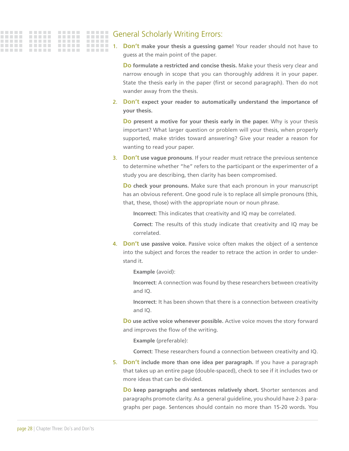

### General Scholarly Writing Errors:

1. **Don't make your thesis a guessing game!** Your reader should not have to guess at the main point of the paper.

**Do formulate a restricted and concise thesis.** Make your thesis very clear and narrow enough in scope that you can thoroughly address it in your paper. State the thesis early in the paper (first or second paragraph). Then do not wander away from the thesis.

2. **Don't expect your reader to automatically understand the importance of your thesis.**

**Do present a motive for your thesis early in the paper.** Why is your thesis important? What larger question or problem will your thesis, when properly supported, make strides toward answering? Give your reader a reason for wanting to read your paper.

3. **Don't use vague pronouns**. If your reader must retrace the previous sentence to determine whether "he" refers to the participant or the experimenter of a study you are describing, then clarity has been compromised.

**Do check your pronouns.** Make sure that each pronoun in your manuscript has an obvious referent. One good rule is to replace all simple pronouns (this, that, these, those) with the appropriate noun or noun phrase.

**Incorrect**: This indicates that creativity and IQ may be correlated.

**Correct**: The results of this study indicate that creativity and IQ may be correlated.

4. **Don't use passive voice.** Passive voice often makes the object of a sentence into the subject and forces the reader to retrace the action in order to understand it.

**Example** (avoid):

**Incorrect**: A connection was found by these researchers between creativity and IQ.

**Incorrect**: It has been shown that there is a connection between creativity and IQ.

**Do use active voice whenever possible.** Active voice moves the story forward and improves the flow of the writing.

**Example** (preferable):

**Correct**: These researchers found a connection between creativity and IQ.

5. **Don't include more than one idea per paragraph.** If you have a paragraph that takes up an entire page (double-spaced), check to see if it includes two or more ideas that can be divided.

**Do keep paragraphs and sentences relatively short.** Shorter sentences and paragraphs promote clarity. As a general guideline, you should have 2-3 paragraphs per page. Sentences should contain no more than 15-20 words. You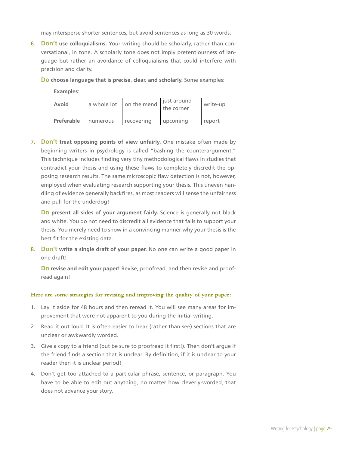may intersperse shorter sentences, but avoid sentences as long as 30 words.

6. **Don't use colloquialisms.** Your writing should be scholarly, rather than conversational, in tone. A scholarly tone does not imply pretentiousness of language but rather an avoidance of colloquialisms that could interfere with precision and clarity.

**Do choose language that is precise, clear, and scholarly.** Some examples:

**Examples**:

| Avoid | $\int$ a whole lot $\int$ on the mend $\int$ just around the corner | write-up |
|-------|---------------------------------------------------------------------|----------|
|       | Preferable numerous recovering upcoming                             | report   |

7. **Don't treat opposing points of view unfairly.** One mistake often made by beginning writers in psychology is called "bashing the counterargument." This technique includes finding very tiny methodological flaws in studies that contradict your thesis and using these flaws to completely discredit the opposing research results. The same microscopic flaw detection is not, however, employed when evaluating research supporting your thesis. This uneven handling of evidence generally backfires, as most readers will sense the unfairness and pull for the underdog!

**Do present all sides of your argument fairly.** Science is generally not black and white. You do not need to discredit all evidence that fails to support your thesis. You merely need to show in a convincing manner why your thesis is the best fit for the existing data.

8. **Don't write a single draft of your paper.** No one can write a good paper in one draft!

**Do revise and edit your paper!** Revise, proofread, and then revise and proofread again!

#### **Here are some strategies for revising and improving the quality of your paper:**

- 1. Lay it aside for 48 hours and then reread it. You will see many areas for improvement that were not apparent to you during the initial writing.
- 2. Read it out loud. It is often easier to hear (rather than see) sections that are unclear or awkwardly worded.
- 3. Give a copy to a friend (but be sure to proofread it first!). Then don't argue if the friend finds a section that is unclear. By definition, if it is unclear to your reader then it is unclear period!
- 4. Don't get too attached to a particular phrase, sentence, or paragraph. You have to be able to edit out anything, no matter how cleverly-worded, that does not advance your story.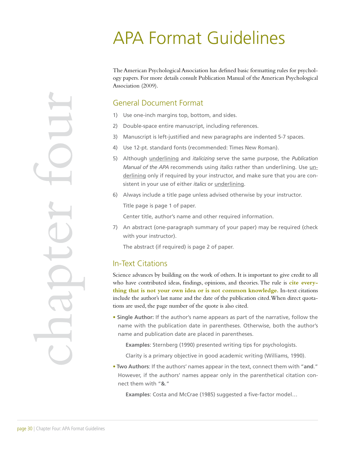## APA Format Guidelines

The American Psychological Association has defined basic formatting rules for psychology papers. For more details consult Publication Manual of the American Psychological Association (2009).

## General Document Format

- 1) Use one-inch margins top, bottom, and sides.
- 2) Double-space entire manuscript, including references.
- 3) Manuscript is left-justified and new paragraphs are indented 5-7 spaces.
- 4) Use 12-pt. standard fonts (recommended: Times New Roman).
- 5) Although underlining and *italicizing* serve the same purpose, the *Publication Manual of the APA* recommends using *italics* rather than underlining. Use underlining only if required by your instructor, and make sure that you are consistent in your use of either *italics* or underlining.
- 6) Always include a title page unless advised otherwise by your instructor. Title page is page 1 of paper.

Center title, author's name and other required information.

7) An abstract (one-paragraph summary of your paper) may be required (check with your instructor).

The abstract (if required) is page 2 of paper.

## In-Text Citations

Science advances by building on the work of others. It is important to give credit to all who have contributed ideas, findings, opinions, and theories. The rule is **cite everything that is not your own idea or is not common knowledge.** In-text citations include the author's last name and the date of the publication cited. When direct quotations are used, the page number of the quote is also cited.

• **Single Author:** If the author's name appears as part of the narrative, follow the name with the publication date in parentheses. Otherwise, both the author's name and publication date are placed in parentheses.

**Examples**: Sternberg (1990) presented writing tips for psychologists.

Clarity is a primary objective in good academic writing (Williams, 1990).

• **Two Authors**: If the authors' names appear in the text, connect them with "**and**." However, if the authors' names appear only in the parenthetical citation connect them with "**&**."

**Examples**: Costa and McCrae (1985) suggested a five-factor model…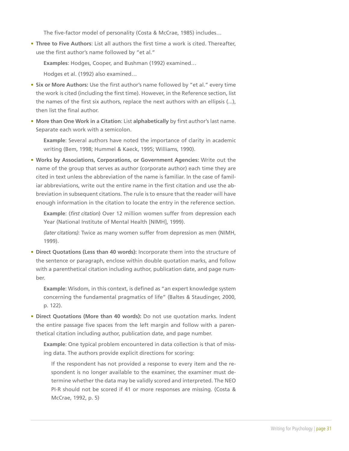The five-factor model of personality (Costa & McCrae, 1985) includes…

• **Three to Five Authors**: List all authors the first time a work is cited. Thereafter, use the first author's name followed by "et al."

**Examples**: Hodges, Cooper, and Bushman (1992) examined…

Hodges et al. (1992) also examined…

- **Six or More Authors:** Use the first author's name followed by "et al." every time the work is cited (including the first time). However, in the Reference section, list the names of the first six authors, replace the next authors with an ellipsis (...), then list the final author.
- **More than One Work in a Citation**: List **alphabetically** by first author's last name. Separate each work with a semicolon.

**Example**: Several authors have noted the importance of clarity in academic writing (Bem, 1998; Hummel & Kaeck, 1995; Williams, 1990).

• **Works by Associations, Corporations, or Government Agencies:** Write out the name of the group that serves as author (corporate author) each time they are cited in text unless the abbreviation of the name is familiar. In the case of familiar abbreviations, write out the entire name in the first citation and use the abbreviation in subsequent citations. The rule is to ensure that the reader will have enough information in the citation to locate the entry in the reference section.

**Example**: (*first citation*) Over 12 million women suffer from depression each Year (National Institute of Mental Health [NIMH], 1999).

*(later citations)*: Twice as many women suffer from depression as men (NIMH, 1999).

• **Direct Quotations (Less than 40 words):** Incorporate them into the structure of the sentence or paragraph, enclose within double quotation marks, and follow with a parenthetical citation including author, publication date, and page number.

**Example**: Wisdom, in this context, is defined as "an expert knowledge system concerning the fundamental pragmatics of life" (Baltes & Staudinger, 2000, p. 122).

• **Direct Quotations (More than 40 words):** Do not use quotation marks. Indent the entire passage five spaces from the left margin and follow with a parenthetical citation including author, publication date, and page number.

**Example**: One typical problem encountered in data collection is that of missing data. The authors provide explicit directions for scoring:

If the respondent has not provided a response to every item and the respondent is no longer available to the examiner, the examiner must determine whether the data may be validly scored and interpreted. The NEO PI-R should not be scored if 41 or more responses are missing. (Costa & McCrae, 1992, p. 5)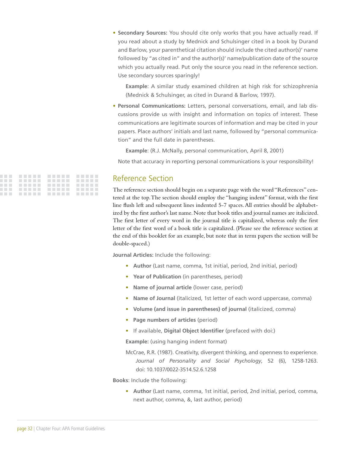• **Secondary Sources:** You should cite only works that you have actually read. If you read about a study by Mednick and Schulsinger cited in a book by Durand and Barlow, your parenthetical citation should include the cited author(s)' name followed by "as cited in" and the author(s)' name/publication date of the source which you actually read. Put only the source you read in the reference section. Use secondary sources sparingly!

**Example**: A similar study examined children at high risk for schizophrenia (Mednick & Schulsinger, as cited in Durand & Barlow, 1997).

• **Personal Communications:** Letters, personal conversations, email, and lab discussions provide us with insight and information on topics of interest. These communications are legitimate sources of information and may be cited in your papers. Place authors' initials and last name, followed by "personal communication" and the full date in parentheses.

**Example**: (R.J. McNally, personal communication, April 8, 2001)

Note that accuracy in reporting personal communications is your responsibility!

|  |  | . |
|--|--|---|
|  |  | . |
|  |  | . |
|  |  | . |

### Reference Section

The reference section should begin on a separate page with the word "References" centered at the top. The section should employ the "hanging indent" format, with the first line flush left and subsequent lines indented 5-7 spaces. All entries should be alphabetized by the first author's last name. Note that book titles and journal names are italicized. The first letter of every word in the journal title is capitalized, whereas only the first letter of the first word of a book title is capitalized. (Please see the reference section at the end of this booklet for an example, but note that in term papers the section will be double-spaced.)

**Journal Articles:** Include the following:

- **Author** (Last name, comma, 1st initial, period, 2nd initial, period)
- **Year of Publication** (in parentheses, period)
- **Name of journal article** (lower case, period)
- **Name of Journal** (italicized, 1st letter of each word uppercase, comma)
- **Volume (and issue in parentheses) of journal** (italicized, comma)
- **Page numbers of articles** (period)
- If available, **Digital Object Identifier** (prefaced with doi:)

**Example:** (using hanging indent format)

McCrae, R.R. (1987). Creativity, divergent thinking, and openness to experience. *Journal of Personality and Social Psychology*, 52 (6), 1258-1263. doi: 10.1037/0022-3514.52.6.1258

**Books**: Include the following:

• **Author** (Last name, comma, 1st initial, period, 2nd initial, period, comma, next author, comma, &, last author, period)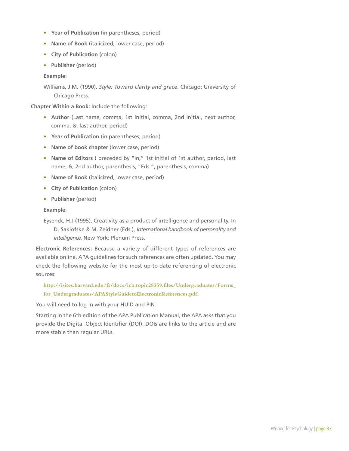- **Year of Publication** (in parentheses, period)
- **Name of Book** (italicized, lower case, period)
- **City of Publication** (colon)
- **Publisher** (period)

#### **Example**:

Williams, J.M. (1990). *Style: Toward clarity and grace*. Chicago: University of Chicago Press.

**Chapter Within a Book:** Include the following:

- **Author** (Last name, comma, 1st initial, comma, 2nd initial, next author, comma, &, last author, period)
- **Year of Publication** (in parentheses, period)
- **Name of book chapter** (lower case, period)
- **Name of Editors** ( preceded by "In," 1st initial of 1st author, period, last name, &, 2nd author, parenthesis, "Eds.", parenthesis, comma)
- **Name of Book** (italicized, lower case, period)
- **City of Publication** (colon)
- **Publisher** (period)

#### **Example**:

Eysenck, H.J (1995). Creativity as a product of intelligence and personality. In D. Saklofske & M. Zeidner (Eds.), *International handbook of personality and intelligence.* New York: Plenum Press.

**Electronic References:** Because a variety of different types of references are available online, APA guidelines for such references are often updated. You may check the following website for the most up-to-date referencing of electronic sources:

**http://isites.harvard.edu/fs/docs/icb.topic28359.files/Undergraduates/Forms\_ for\_Undergraduates/APAStyleGuidetoElectronicReferences.pdf.** 

You will need to log in with your HUID and PIN.

Starting in the 6th edition of the APA Publication Manual, the APA asks that you provide the Digital Object Identifier (DOI). DOIs are links to the article and are more stable than regular URLs.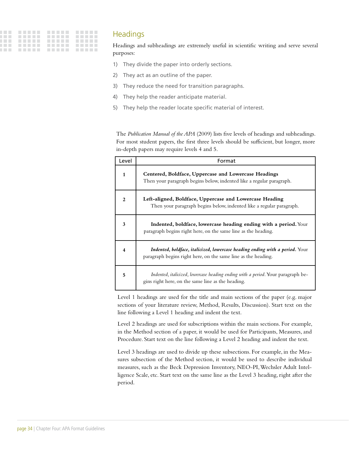| . |  |
|---|--|
| . |  |
|   |  |
| . |  |
| . |  |

### **Headings**

Headings and subheadings are extremely useful in scientific writing and serve several purposes:

- 1) They divide the paper into orderly sections.
- 2) They act as an outline of the paper.
- 3) They reduce the need for transition paragraphs.
- 4) They help the reader anticipate material.
- 5) They help the reader locate specific material of interest.

The *Publication Manual of the APA* (2009) lists five levels of headings and subheadings. For most student papers, the first three levels should be sufficient, but longer, more in-depth papers may require levels 4 and 5.

| Level        | Format                                                                                                                                        |
|--------------|-----------------------------------------------------------------------------------------------------------------------------------------------|
| $\mathbf{1}$ | Centered, Boldface, Uppercase and Lowercase Headings<br>Then your paragraph begins below, indented like a regular paragraph.                  |
| $\mathbf{2}$ | Left-aligned, Boldface, Uppercase and Lowercase Heading<br>Then your paragraph begins below, indented like a regular paragraph.               |
| 3            | Indented, boldface, lowercase heading ending with a period. Your<br>paragraph begins right here, on the same line as the heading.             |
| 4            | Indented, boldface, italicized, lowercase heading ending with a period. Your<br>paragraph begins right here, on the same line as the heading. |
| 5            | Indented, italicized, lowercase heading ending with a period. Your paragraph be-<br>gins right here, on the same line as the heading.         |

Level 1 headings are used for the title and main sections of the paper (e.g. major sections of your literature review, Method, Results, Discussion). Start text on the line following a Level 1 heading and indent the text.

Level 2 headings are used for subscriptions within the main sections. For example, in the Method section of a paper, it would be used for Participants, Measures, and Procedure. Start text on the line following a Level 2 heading and indent the text.

Level 3 headings are used to divide up these subsections. For example, in the Measures subsection of the Method section, it would be used to describe individual measures, such as the Beck Depression Inventory, NEO-PI, Wechsler Adult Intelligence Scale, etc. Start text on the same line as the Level 3 heading, right after the period.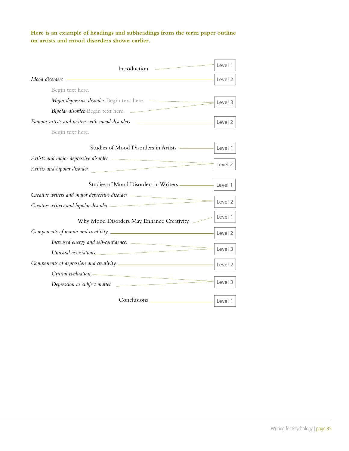#### **Here is an example of headings and subheadings from the term paper outline on artists and mood disorders shown earlier.**

| Introduction                                                                                                                                                                                                                         | Level 1            |  |
|--------------------------------------------------------------------------------------------------------------------------------------------------------------------------------------------------------------------------------------|--------------------|--|
| Mood disorders                                                                                                                                                                                                                       |                    |  |
| Begin text here.                                                                                                                                                                                                                     |                    |  |
| Major depressive disorder. Begin text here.                                                                                                                                                                                          | Level 3            |  |
| Bipolar disorder. Begin text here.                                                                                                                                                                                                   |                    |  |
| Famous artists and writers with mood disorders _________________________________                                                                                                                                                     | Level 2            |  |
| Begin text here.                                                                                                                                                                                                                     |                    |  |
| Studies of Mood Disorders in Artists                                                                                                                                                                                                 | Level 1            |  |
| Artists and major depressive disorder <b>container and the container of the container of the container of the container</b>                                                                                                          |                    |  |
| Artists and bipolar disorder                                                                                                                                                                                                         | Level 2            |  |
| Studies of Mood Disorders in Writers                                                                                                                                                                                                 | Level 1            |  |
| Creative writers and major depressive disorder <b>contract to the contract of the contract of the contract of the contract of the contract of the contract of the contract of the contract of the contract of the contract of th</b> | Level 2            |  |
|                                                                                                                                                                                                                                      |                    |  |
| Why Mood Disorders May Enhance Creativity —                                                                                                                                                                                          | Level 1            |  |
|                                                                                                                                                                                                                                      | Level 2            |  |
|                                                                                                                                                                                                                                      |                    |  |
| Unusual associations.                                                                                                                                                                                                                | Level 3            |  |
|                                                                                                                                                                                                                                      | Level <sub>2</sub> |  |
| Critical evaluation.                                                                                                                                                                                                                 |                    |  |
| Depression as subject matter.                                                                                                                                                                                                        | Level 3            |  |
|                                                                                                                                                                                                                                      | Level 1            |  |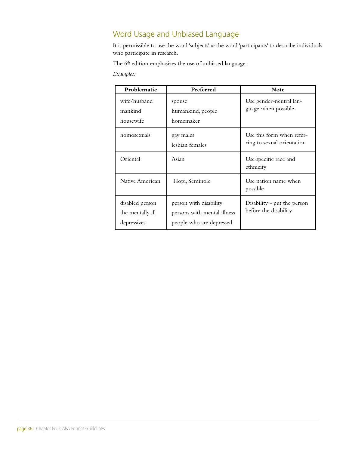## Word Usage and Unbiased Language

It is permissible to use the word 'subjects' *or* the word 'participants' to describe individuals who participate in research.

The 6<sup>th</sup> edition emphasizes the use of unbiased language.

*Examples:* 

| Problematic                                        | Preferred                                                                         | <b>Note</b>                                             |
|----------------------------------------------------|-----------------------------------------------------------------------------------|---------------------------------------------------------|
| wife/husband<br>mankind<br>housewife               | spouse<br>humankind, people<br>homemaker                                          | Use gender-neutral lan-<br>guage when possible          |
| homosexuals                                        | gay males<br>lesbian females                                                      | Use this form when refer-<br>ring to sexual orientation |
| Oriental                                           | Asian                                                                             | Use specific race and<br>ethnicity                      |
| Native American                                    | Hopi, Seminole                                                                    | Use nation name when<br>possible                        |
| disabled person<br>the mentally ill<br>depressives | person with disability<br>persons with mental illness<br>people who are depressed | Disability – put the person<br>before the disability    |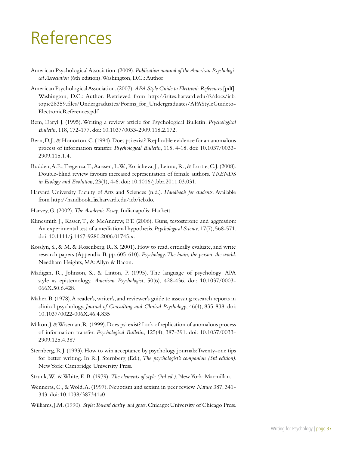## References

- American Psychological Association. (2009). *Publication manual of the American Psychological Association* (6th edition). Washington, D.C.: Author
- American Psychological Association. (2007). *APA Style Guide to Electronic References* [pdf]. Washington, D.C.: Author. Retrieved from http://isites.harvard.edu/fs/docs/icb. topic28359.files/Undergraduates/Forms\_for\_Undergraduates/APAStyleGuideto-ElectronicReferences.pdf.
- Bem, Daryl J. (1995). Writing a review article for Psychological Bulletin. *Psychological Bulletin*, 118, 172-177. doi: 10.1037/0033-2909.118.2.172.
- Bern, D.J., & Honorton, C. (1994). Does psi exist? Replicable evidence for an anomalous process of information transfer. *Psychological Bulletin*, 115, 4-18. doi: 10.1037/0033- 2909.115.1.4.
- Budden, A.E., Tregenza, T., Aarssen, L.W., Koricheva, J., Leimu, R., & Lortie, C.J. (2008). Double-blind review favours increased representation of female authors. *TRENDS in Ecology and Evolution*, 23(1), 4-6. doi: 10.1016/j.bbr.2011.03.031.
- Harvard University Faculty of Arts and Sciences (n.d.). *Handbook for students*. Available from http://handbook.fas.harvard.edu/icb/icb.do.
- Harvey, G. (2002). *The Academic Essay*. Indianapolis: Hackett.
- Klinesmith J., Kasser, T., & McAndrew, F.T. (2006). Guns, testosterone and aggression: An experimental test of a mediational hypothesis. *Psychological Science*, 17(7), 568-571. doi: 10.1111/j.1467-9280.2006.01745.x.
- Kosslyn, S., & M. & Rosenberg, R. S. (2001). How to read, critically evaluate, and write research papers (Appendix B, pp. 605-610). *Psychology: The brain, the person, the world.*  Needham Heights, MA: Allyn & Bacon.
- Madigan, R., Johnson, S., & Linton, P. (1995). The language of psychology: APA style as epistemology. *American Psychologist*, 50(6), 428-436. doi: 10.1037/0003- 066X.50.6.428.
- Maher, B. (1978). A reader's, writer's, and reviewer's guide to assessing research reports in clinical psychology. *Journal of Consulting and Clinical Psychology*, 46(4), 835-838. doi: 10.1037/0022-006X.46.4.835
- Milton, J. & Wiseman, R. (1999). Does psi exist? Lack of replication of anomalous process of information transfer. *Psychological Bulletin*, 125(4), 387-391. doi: 10.1037/0033- 2909.125.4.387
- Sternberg, R.J. (1993). How to win acceptance by psychology journals: Twenty-one tips for better writing. In R.J. Sternberg (Ed.), *The psychologist's companion (3rd edition)*. New York: Cambridge University Press.
- Strunk, W., & White, E. B. (1979). *The elements of style (3rd ed.)*. New York: Macmillan.
- Wenneras, C., & Wold, A. (1997). Nepotism and sexism in peer review. *Nature* 387, 341- 343. doi: 10.1038/387341a0
- Williams, J.M. (1990). *Style: Toward clarity and grace*. Chicago: University of Chicago Press.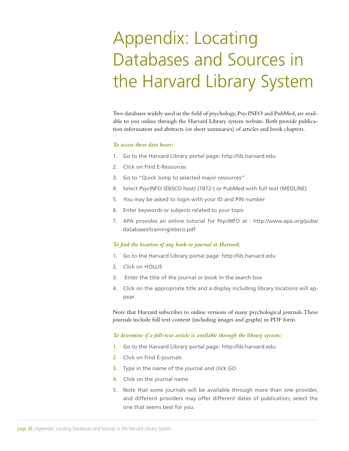## Appendix: Locating Databases and Sources in the Harvard Library System

Two databases widely used in the field of psychology, PsycINFO and PubMed, are available to you online through the Harvard Library system website. Both provide publication information and abstracts (or short summaries) of articles and book chapters.

#### *To access these data bases:*

- 1. Go to the Harvard Library portal page: http://lib.harvard.edu
- 2. Click on Find E-Resources
- 3. Go to "Quick Jump to selected major resources"
- 4. Select PsycINFO (EBSCO host) (1872-) or PubMed with full text (MEDLINE)
- 5. You may be asked to login with your ID and PIN number
- 6. Enter keywords or subjects related to your topic
- 7. APA provides an online tutorial for PsycINFO at : http://www.apa.org/pubs/ databases/training/ebsco.pdf

#### *To find the location of any book or journal at Harvard:*

- 1. Go to the Harvard Library portal page: http://lib.harvard.edu
- 2. Click on HOLLIS
- 3. Enter the title of the journal or book in the search box
- 4. Click on the appropriate title and a display including library locations will appear

Note that Harvard subscribes to online versions of many psychological journals. These journals include full text content (including images and graphs) in PDF form.

#### *To determine if a full-text article is available through the library system:*

- 1. Go to the Harvard Library portal page: http://lib.harvard.edu
- 2. Click on Find E-journals
- 3. Type in the name of the journal and click GO
- 4. Click on the journal name
- 5. Note that some journals will be available through more than one provider, and different providers may offer different dates of publication; select the one that seems best for you.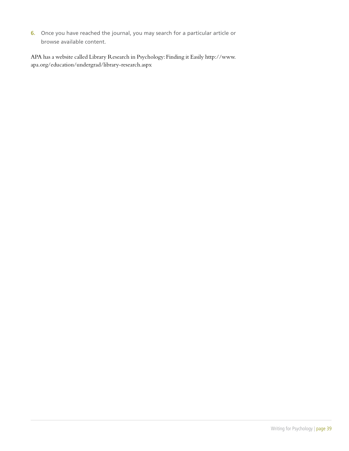6. Once you have reached the journal, you may search for a particular article or browse available content.

APA has a website called Library Research in Psychology: Finding it Easily http://www. apa.org/education/undergrad/library-research.aspx